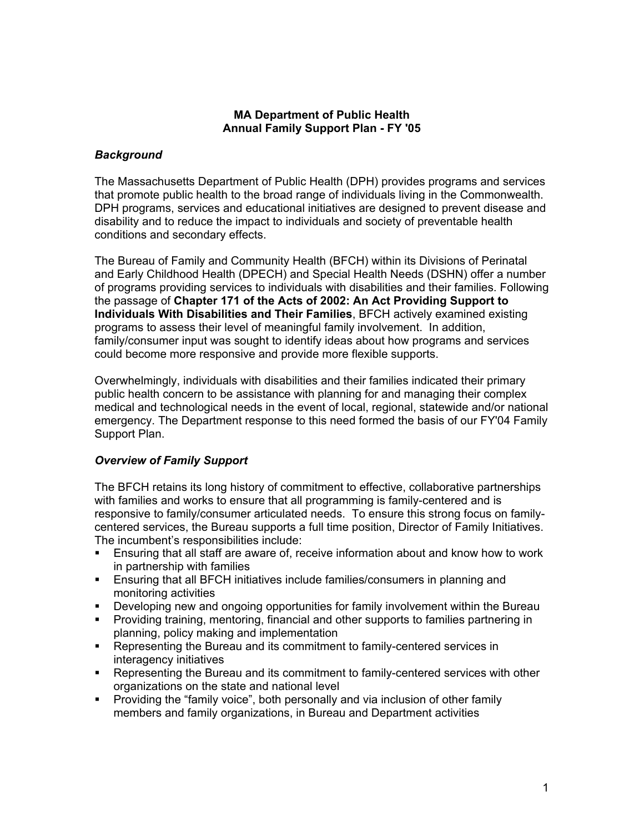### **MA Department of Public Health Annual Family Support Plan - FY '05**

# *Background*

The Massachusetts Department of Public Health (DPH) provides programs and services that promote public health to the broad range of individuals living in the Commonwealth. DPH programs, services and educational initiatives are designed to prevent disease and disability and to reduce the impact to individuals and society of preventable health conditions and secondary effects.

The Bureau of Family and Community Health (BFCH) within its Divisions of Perinatal and Early Childhood Health (DPECH) and Special Health Needs (DSHN) offer a number of programs providing services to individuals with disabilities and their families. Following the passage of **Chapter 171 of the Acts of 2002: An Act Providing Support to Individuals With Disabilities and Their Families**, BFCH actively examined existing programs to assess their level of meaningful family involvement. In addition, family/consumer input was sought to identify ideas about how programs and services could become more responsive and provide more flexible supports.

Overwhelmingly, individuals with disabilities and their families indicated their primary public health concern to be assistance with planning for and managing their complex medical and technological needs in the event of local, regional, statewide and/or national emergency. The Department response to this need formed the basis of our FY'04 Family Support Plan.

# *Overview of Family Support*

The BFCH retains its long history of commitment to effective, collaborative partnerships with families and works to ensure that all programming is family-centered and is responsive to family/consumer articulated needs. To ensure this strong focus on familycentered services, the Bureau supports a full time position, Director of Family Initiatives. The incumbent's responsibilities include:

- Ensuring that all staff are aware of, receive information about and know how to work in partnership with families
- Ensuring that all BFCH initiatives include families/consumers in planning and monitoring activities
- Developing new and ongoing opportunities for family involvement within the Bureau
- Providing training, mentoring, financial and other supports to families partnering in planning, policy making and implementation
- **•** Representing the Bureau and its commitment to family-centered services in interagency initiatives
- Representing the Bureau and its commitment to family-centered services with other organizations on the state and national level
- Providing the "family voice", both personally and via inclusion of other family members and family organizations, in Bureau and Department activities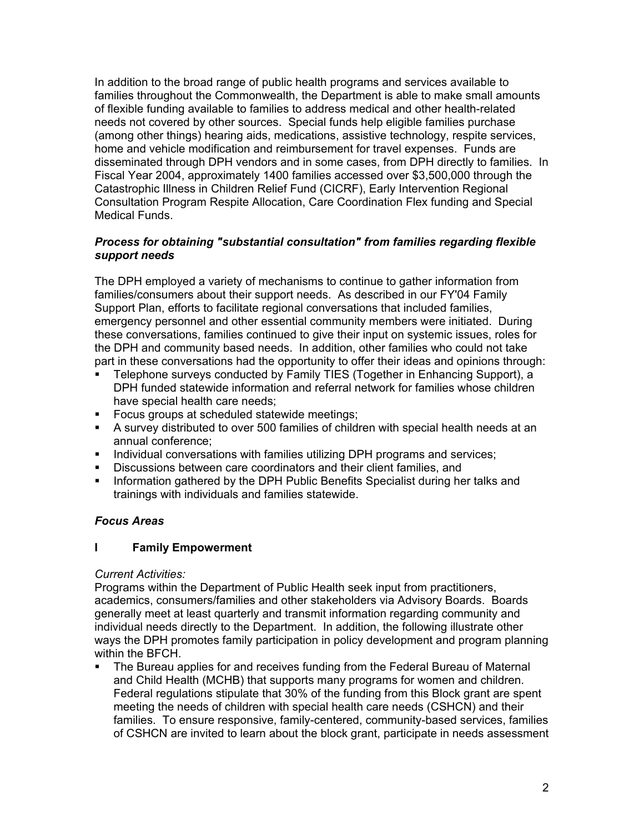In addition to the broad range of public health programs and services available to families throughout the Commonwealth, the Department is able to make small amounts of flexible funding available to families to address medical and other health-related needs not covered by other sources. Special funds help eligible families purchase (among other things) hearing aids, medications, assistive technology, respite services, home and vehicle modification and reimbursement for travel expenses. Funds are disseminated through DPH vendors and in some cases, from DPH directly to families. In Fiscal Year 2004, approximately 1400 families accessed over \$3,500,000 through the Catastrophic Illness in Children Relief Fund (CICRF), Early Intervention Regional Consultation Program Respite Allocation, Care Coordination Flex funding and Special Medical Funds.

# *Process for obtaining "substantial consultation" from families regarding flexible support needs*

The DPH employed a variety of mechanisms to continue to gather information from families/consumers about their support needs. As described in our FY'04 Family Support Plan, efforts to facilitate regional conversations that included families, emergency personnel and other essential community members were initiated. During these conversations, families continued to give their input on systemic issues, roles for the DPH and community based needs. In addition, other families who could not take part in these conversations had the opportunity to offer their ideas and opinions through:

- Telephone surveys conducted by Family TIES (Together in Enhancing Support), a DPH funded statewide information and referral network for families whose children have special health care needs;
- **FICUS** groups at scheduled statewide meetings;
- A survey distributed to over 500 families of children with special health needs at an annual conference;
- Individual conversations with families utilizing DPH programs and services;
- Discussions between care coordinators and their client families, and
- **Information gathered by the DPH Public Benefits Specialist during her talks and** trainings with individuals and families statewide.

# *Focus Areas*

# **I Family Empowerment**

#### *Current Activities:*

Programs within the Department of Public Health seek input from practitioners, academics, consumers/families and other stakeholders via Advisory Boards. Boards generally meet at least quarterly and transmit information regarding community and individual needs directly to the Department. In addition, the following illustrate other ways the DPH promotes family participation in policy development and program planning within the BFCH.

 The Bureau applies for and receives funding from the Federal Bureau of Maternal and Child Health (MCHB) that supports many programs for women and children. Federal regulations stipulate that 30% of the funding from this Block grant are spent meeting the needs of children with special health care needs (CSHCN) and their families. To ensure responsive, family-centered, community-based services, families of CSHCN are invited to learn about the block grant, participate in needs assessment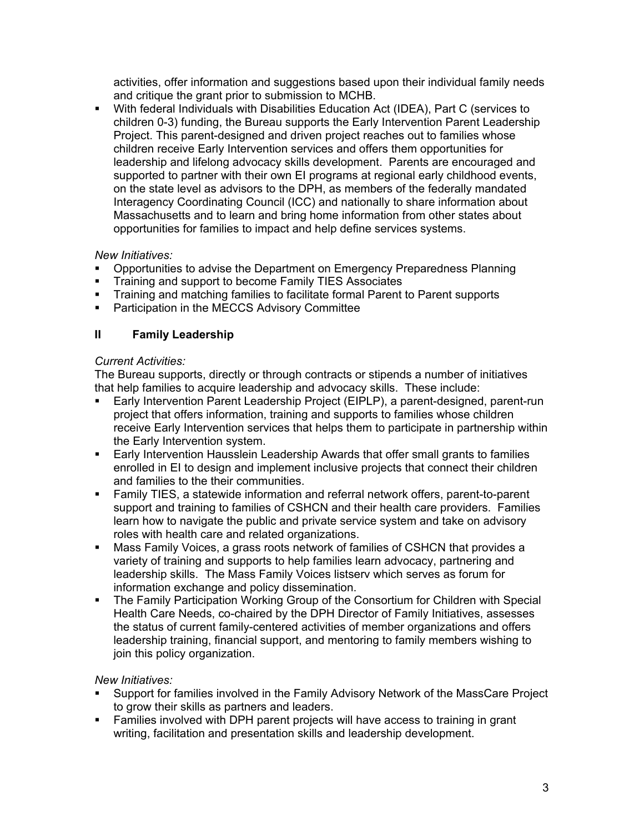activities, offer information and suggestions based upon their individual family needs and critique the grant prior to submission to MCHB.

 With federal Individuals with Disabilities Education Act (IDEA), Part C (services to children 0-3) funding, the Bureau supports the Early Intervention Parent Leadership Project. This parent-designed and driven project reaches out to families whose children receive Early Intervention services and offers them opportunities for leadership and lifelong advocacy skills development. Parents are encouraged and supported to partner with their own EI programs at regional early childhood events, on the state level as advisors to the DPH, as members of the federally mandated Interagency Coordinating Council (ICC) and nationally to share information about Massachusetts and to learn and bring home information from other states about opportunities for families to impact and help define services systems.

# *New Initiatives:*

- Opportunities to advise the Department on Emergency Preparedness Planning
- **Training and support to become Family TIES Associates**
- **Training and matching families to facilitate formal Parent to Parent supports**
- **Participation in the MECCS Advisory Committee**

# **II Family Leadership**

# *Current Activities:*

The Bureau supports, directly or through contracts or stipends a number of initiatives that help families to acquire leadership and advocacy skills. These include:

- Early Intervention Parent Leadership Project (EIPLP), a parent-designed, parent-run project that offers information, training and supports to families whose children receive Early Intervention services that helps them to participate in partnership within the Early Intervention system.
- Early Intervention Hausslein Leadership Awards that offer small grants to families enrolled in EI to design and implement inclusive projects that connect their children and families to the their communities.
- Family TIES, a statewide information and referral network offers, parent-to-parent support and training to families of CSHCN and their health care providers. Families learn how to navigate the public and private service system and take on advisory roles with health care and related organizations.
- Mass Family Voices, a grass roots network of families of CSHCN that provides a variety of training and supports to help families learn advocacy, partnering and leadership skills. The Mass Family Voices listserv which serves as forum for information exchange and policy dissemination.
- The Family Participation Working Group of the Consortium for Children with Special Health Care Needs, co-chaired by the DPH Director of Family Initiatives, assesses the status of current family-centered activities of member organizations and offers leadership training, financial support, and mentoring to family members wishing to join this policy organization.

# *New Initiatives:*

- Support for families involved in the Family Advisory Network of the MassCare Project to grow their skills as partners and leaders.
- Families involved with DPH parent projects will have access to training in grant writing, facilitation and presentation skills and leadership development.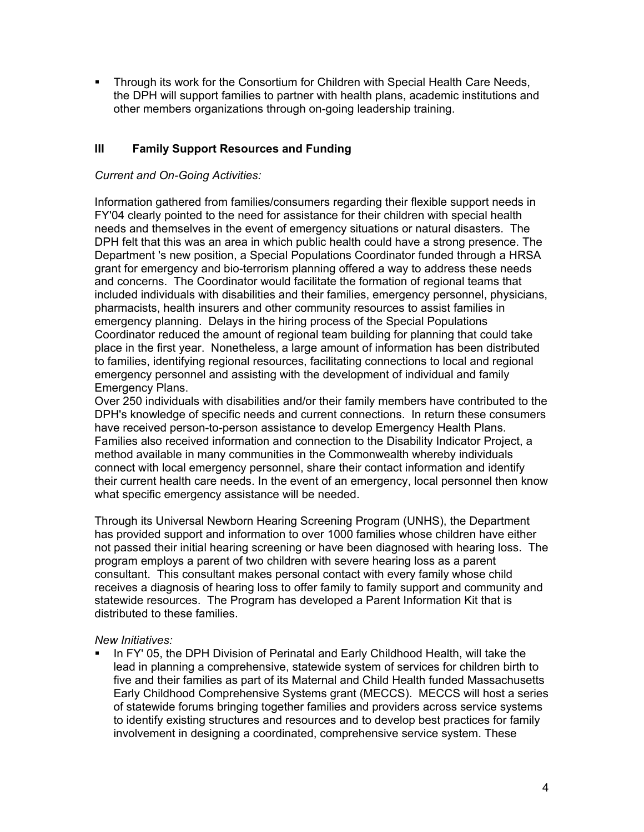Through its work for the Consortium for Children with Special Health Care Needs, the DPH will support families to partner with health plans, academic institutions and other members organizations through on-going leadership training.

# **III Family Support Resources and Funding**

### *Current and On-Going Activities:*

Information gathered from families/consumers regarding their flexible support needs in FY'04 clearly pointed to the need for assistance for their children with special health needs and themselves in the event of emergency situations or natural disasters. The DPH felt that this was an area in which public health could have a strong presence. The Department 's new position, a Special Populations Coordinator funded through a HRSA grant for emergency and bio-terrorism planning offered a way to address these needs and concerns. The Coordinator would facilitate the formation of regional teams that included individuals with disabilities and their families, emergency personnel, physicians, pharmacists, health insurers and other community resources to assist families in emergency planning. Delays in the hiring process of the Special Populations Coordinator reduced the amount of regional team building for planning that could take place in the first year. Nonetheless, a large amount of information has been distributed to families, identifying regional resources, facilitating connections to local and regional emergency personnel and assisting with the development of individual and family Emergency Plans.

Over 250 individuals with disabilities and/or their family members have contributed to the DPH's knowledge of specific needs and current connections. In return these consumers have received person-to-person assistance to develop Emergency Health Plans. Families also received information and connection to the Disability Indicator Project, a method available in many communities in the Commonwealth whereby individuals connect with local emergency personnel, share their contact information and identify their current health care needs. In the event of an emergency, local personnel then know what specific emergency assistance will be needed.

Through its Universal Newborn Hearing Screening Program (UNHS), the Department has provided support and information to over 1000 families whose children have either not passed their initial hearing screening or have been diagnosed with hearing loss. The program employs a parent of two children with severe hearing loss as a parent consultant. This consultant makes personal contact with every family whose child receives a diagnosis of hearing loss to offer family to family support and community and statewide resources. The Program has developed a Parent Information Kit that is distributed to these families.

#### *New Initiatives:*

 In FY' 05, the DPH Division of Perinatal and Early Childhood Health, will take the lead in planning a comprehensive, statewide system of services for children birth to five and their families as part of its Maternal and Child Health funded Massachusetts Early Childhood Comprehensive Systems grant (MECCS). MECCS will host a series of statewide forums bringing together families and providers across service systems to identify existing structures and resources and to develop best practices for family involvement in designing a coordinated, comprehensive service system. These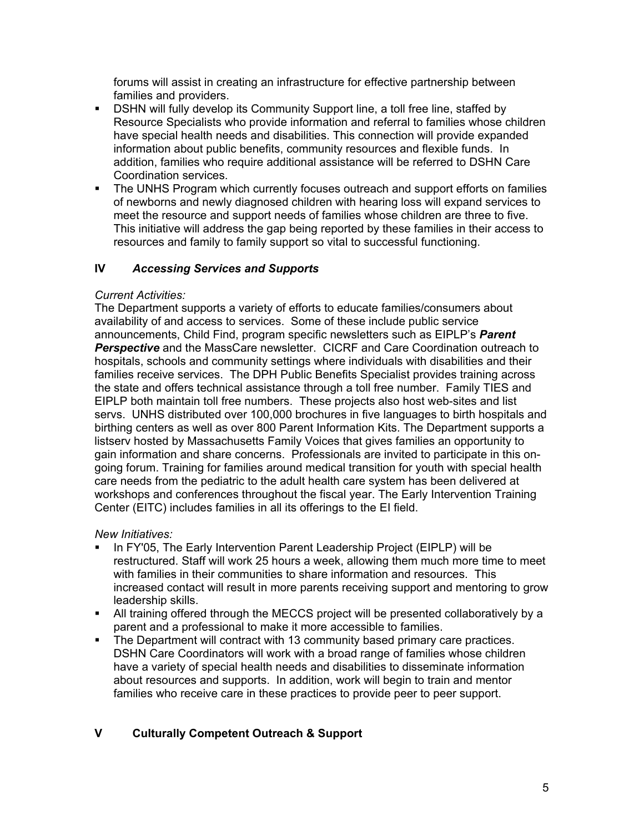forums will assist in creating an infrastructure for effective partnership between families and providers.

- DSHN will fully develop its Community Support line, a toll free line, staffed by Resource Specialists who provide information and referral to families whose children have special health needs and disabilities. This connection will provide expanded information about public benefits, community resources and flexible funds. In addition, families who require additional assistance will be referred to DSHN Care Coordination services.
- The UNHS Program which currently focuses outreach and support efforts on families of newborns and newly diagnosed children with hearing loss will expand services to meet the resource and support needs of families whose children are three to five. This initiative will address the gap being reported by these families in their access to resources and family to family support so vital to successful functioning.

# **IV** *Accessing Services and Supports*

# *Current Activities:*

The Department supports a variety of efforts to educate families/consumers about availability of and access to services. Some of these include public service announcements, Child Find, program specific newsletters such as EIPLP's *Parent Perspective* and the MassCare newsletter. CICRF and Care Coordination outreach to hospitals, schools and community settings where individuals with disabilities and their families receive services. The DPH Public Benefits Specialist provides training across the state and offers technical assistance through a toll free number. Family TIES and EIPLP both maintain toll free numbers. These projects also host web-sites and list servs. UNHS distributed over 100,000 brochures in five languages to birth hospitals and birthing centers as well as over 800 Parent Information Kits. The Department supports a listserv hosted by Massachusetts Family Voices that gives families an opportunity to gain information and share concerns. Professionals are invited to participate in this ongoing forum. Training for families around medical transition for youth with special health care needs from the pediatric to the adult health care system has been delivered at workshops and conferences throughout the fiscal year. The Early Intervention Training Center (EITC) includes families in all its offerings to the EI field.

# *New Initiatives:*

- In FY'05, The Early Intervention Parent Leadership Project (EIPLP) will be restructured. Staff will work 25 hours a week, allowing them much more time to meet with families in their communities to share information and resources. This increased contact will result in more parents receiving support and mentoring to grow leadership skills.
- All training offered through the MECCS project will be presented collaboratively by a parent and a professional to make it more accessible to families.
- The Department will contract with 13 community based primary care practices. DSHN Care Coordinators will work with a broad range of families whose children have a variety of special health needs and disabilities to disseminate information about resources and supports. In addition, work will begin to train and mentor families who receive care in these practices to provide peer to peer support.

# **V Culturally Competent Outreach & Support**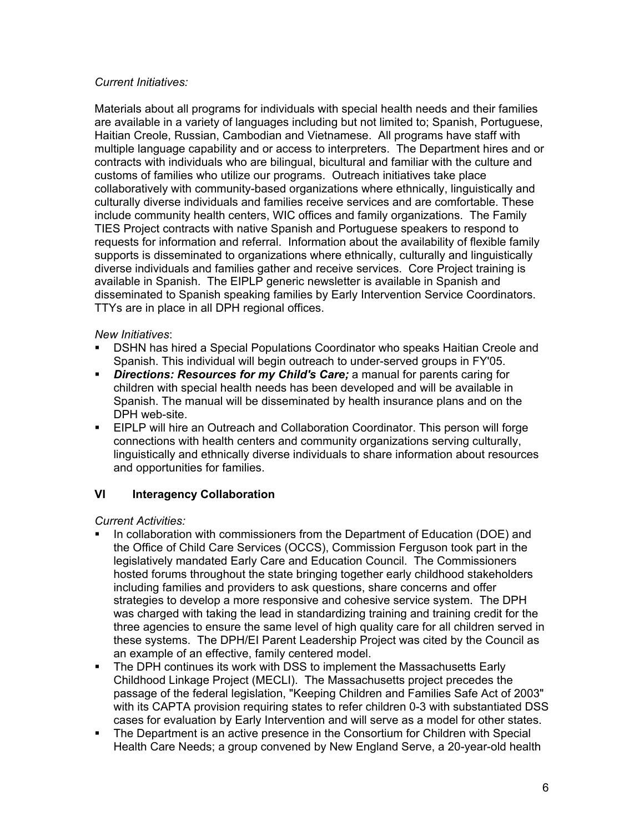# *Current Initiatives:*

Materials about all programs for individuals with special health needs and their families are available in a variety of languages including but not limited to; Spanish, Portuguese, Haitian Creole, Russian, Cambodian and Vietnamese. All programs have staff with multiple language capability and or access to interpreters. The Department hires and or contracts with individuals who are bilingual, bicultural and familiar with the culture and customs of families who utilize our programs. Outreach initiatives take place collaboratively with community-based organizations where ethnically, linguistically and culturally diverse individuals and families receive services and are comfortable. These include community health centers, WIC offices and family organizations. The Family TIES Project contracts with native Spanish and Portuguese speakers to respond to requests for information and referral. Information about the availability of flexible family supports is disseminated to organizations where ethnically, culturally and linguistically diverse individuals and families gather and receive services. Core Project training is available in Spanish. The EIPLP generic newsletter is available in Spanish and disseminated to Spanish speaking families by Early Intervention Service Coordinators. TTYs are in place in all DPH regional offices.

#### *New Initiatives*:

- DSHN has hired a Special Populations Coordinator who speaks Haitian Creole and Spanish. This individual will begin outreach to under-served groups in FY'05.
- *Directions: Resources for my Child's Care;* a manual for parents caring for children with special health needs has been developed and will be available in Spanish. The manual will be disseminated by health insurance plans and on the DPH web-site.
- **EIPLP will hire an Outreach and Collaboration Coordinator. This person will forge** connections with health centers and community organizations serving culturally, linguistically and ethnically diverse individuals to share information about resources and opportunities for families.

# **VI** Interagency Collaboration

*Current Activities:* 

- In collaboration with commissioners from the Department of Education (DOE) and the Office of Child Care Services (OCCS), Commission Ferguson took part in the legislatively mandated Early Care and Education Council. The Commissioners hosted forums throughout the state bringing together early childhood stakeholders including families and providers to ask questions, share concerns and offer strategies to develop a more responsive and cohesive service system. The DPH was charged with taking the lead in standardizing training and training credit for the three agencies to ensure the same level of high quality care for all children served in these systems. The DPH/EI Parent Leadership Project was cited by the Council as an example of an effective, family centered model.
- The DPH continues its work with DSS to implement the Massachusetts Early Childhood Linkage Project (MECLI). The Massachusetts project precedes the passage of the federal legislation, "Keeping Children and Families Safe Act of 2003" with its CAPTA provision requiring states to refer children 0-3 with substantiated DSS cases for evaluation by Early Intervention and will serve as a model for other states.
- The Department is an active presence in the Consortium for Children with Special Health Care Needs; a group convened by New England Serve, a 20-year-old health